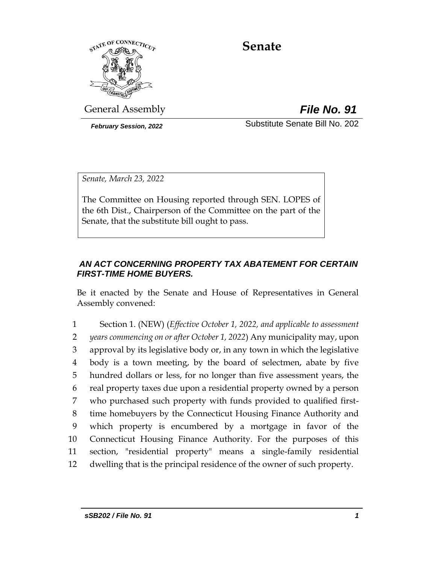

# **Senate**

General Assembly *File No. 91*

*February Session, 2022* Substitute Senate Bill No. 202

*Senate, March 23, 2022*

The Committee on Housing reported through SEN. LOPES of the 6th Dist., Chairperson of the Committee on the part of the Senate, that the substitute bill ought to pass.

## *AN ACT CONCERNING PROPERTY TAX ABATEMENT FOR CERTAIN FIRST-TIME HOME BUYERS.*

Be it enacted by the Senate and House of Representatives in General Assembly convened:

 Section 1. (NEW) (*Effective October 1, 2022, and applicable to assessment years commencing on or after October 1, 2022*) Any municipality may, upon approval by its legislative body or, in any town in which the legislative body is a town meeting, by the board of selectmen, abate by five hundred dollars or less, for no longer than five assessment years, the real property taxes due upon a residential property owned by a person who purchased such property with funds provided to qualified first- time homebuyers by the Connecticut Housing Finance Authority and which property is encumbered by a mortgage in favor of the Connecticut Housing Finance Authority. For the purposes of this section, "residential property" means a single-family residential dwelling that is the principal residence of the owner of such property.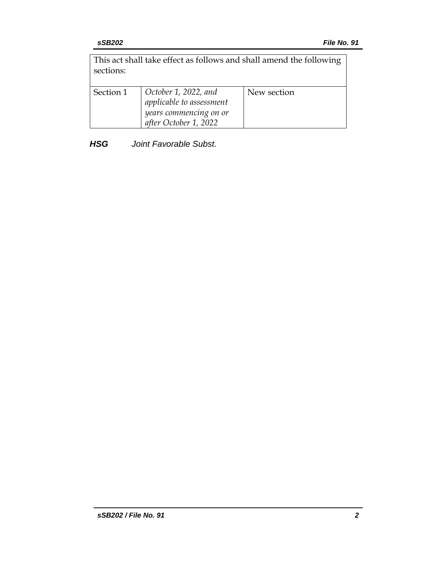This act shall take effect as follows and shall amend the following sections: Section 1 *October 1, 2022, and applicable to assessment*  New section

| Tyears commencing on or | <i>upplicable to assessment</i> |  |
|-------------------------|---------------------------------|--|
|                         |                                 |  |
|                         | after October 1, 2022           |  |

*HSG Joint Favorable Subst.*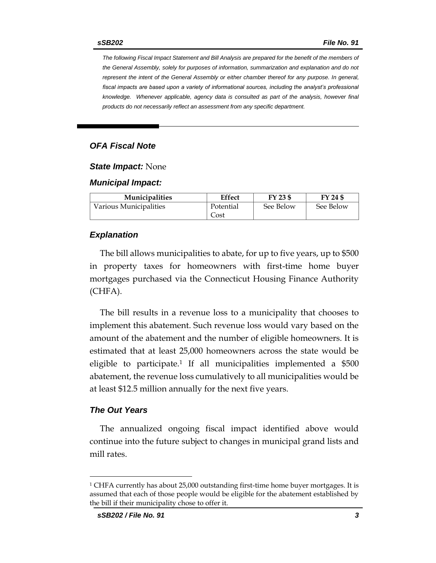*The following Fiscal Impact Statement and Bill Analysis are prepared for the benefit of the members of the General Assembly, solely for purposes of information, summarization and explanation and do not represent the intent of the General Assembly or either chamber thereof for any purpose. In general, fiscal impacts are based upon a variety of informational sources, including the analyst's professional knowledge. Whenever applicable, agency data is consulted as part of the analysis, however final products do not necessarily reflect an assessment from any specific department.*

#### *OFA Fiscal Note*

#### *State Impact:* None

#### *Municipal Impact:*

| <b>Municipalities</b>  | Effect    | FY 23 \$  | FY 24 \$  |
|------------------------|-----------|-----------|-----------|
| Various Municipalities | Potential | See Below | See Below |
|                        | Cost      |           |           |

#### *Explanation*

The bill allows municipalities to abate, for up to five years, up to \$500 in property taxes for homeowners with first-time home buyer mortgages purchased via the Connecticut Housing Finance Authority (CHFA).

The bill results in a revenue loss to a municipality that chooses to implement this abatement. Such revenue loss would vary based on the amount of the abatement and the number of eligible homeowners. It is estimated that at least 25,000 homeowners across the state would be eligible to participate.<sup>1</sup> If all municipalities implemented a  $$500$ abatement, the revenue loss cumulatively to all municipalities would be at least \$12.5 million annually for the next five years.

#### *The Out Years*

The annualized ongoing fiscal impact identified above would continue into the future subject to changes in municipal grand lists and mill rates.

<sup>1</sup> CHFA currently has about 25,000 outstanding first-time home buyer mortgages. It is assumed that each of those people would be eligible for the abatement established by the bill if their municipality chose to offer it.